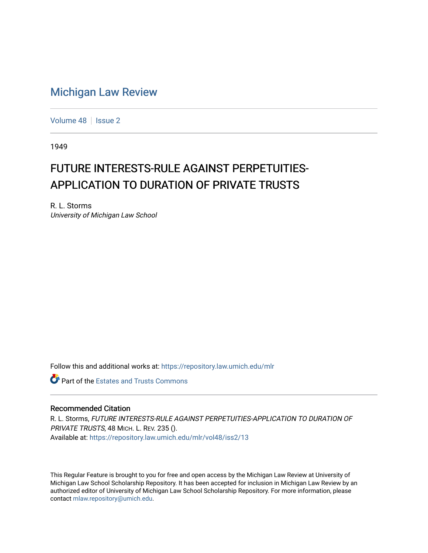## [Michigan Law Review](https://repository.law.umich.edu/mlr)

[Volume 48](https://repository.law.umich.edu/mlr/vol48) | [Issue 2](https://repository.law.umich.edu/mlr/vol48/iss2)

1949

## FUTURE INTERESTS-RULE AGAINST PERPETUITIES-APPLICATION TO DURATION OF PRIVATE TRUSTS

R. L. Storms University of Michigan Law School

Follow this and additional works at: [https://repository.law.umich.edu/mlr](https://repository.law.umich.edu/mlr?utm_source=repository.law.umich.edu%2Fmlr%2Fvol48%2Fiss2%2F13&utm_medium=PDF&utm_campaign=PDFCoverPages) 

**C** Part of the Estates and Trusts Commons

## Recommended Citation

R. L. Storms, FUTURE INTERESTS-RULE AGAINST PERPETUITIES-APPLICATION TO DURATION OF PRIVATE TRUSTS, 48 MICH. L. REV. 235 (). Available at: [https://repository.law.umich.edu/mlr/vol48/iss2/13](https://repository.law.umich.edu/mlr/vol48/iss2/13?utm_source=repository.law.umich.edu%2Fmlr%2Fvol48%2Fiss2%2F13&utm_medium=PDF&utm_campaign=PDFCoverPages) 

This Regular Feature is brought to you for free and open access by the Michigan Law Review at University of Michigan Law School Scholarship Repository. It has been accepted for inclusion in Michigan Law Review by an authorized editor of University of Michigan Law School Scholarship Repository. For more information, please contact [mlaw.repository@umich.edu](mailto:mlaw.repository@umich.edu).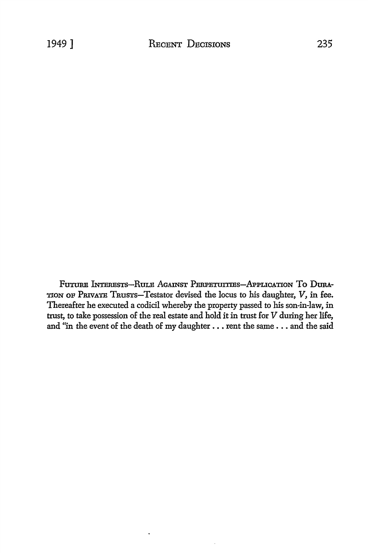FUTURE INTERESTS-RULE AGAINST PERPETUITIES-APPLICATION TO DURA-TION OF PRIVATE TRUSTS-Testator devised the locus to his daughter, V, in fee. Thereafter he executed a codicil whereby the property passed to his son-in-law, in trust, to take possession of the real estate and hold it in trust for V during her life, and "in the event of the death of my daughter . . . rent the same . . . and the said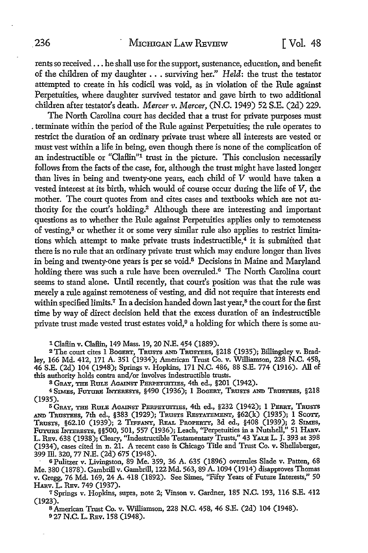rents so received ... he shall use for the support, sustenance, education, and benefit of the children of my daughter ..• surviving her." Held: the trust the testator attempted to create in his codicil was void, as in violation of the Rule against Perpetuities, where daughter survived testator and gave birth to two additional children after testator's death. *Mercer v. Mercer,* (N.C. 1949) 52 S.E. (2d) 229.

The North Carolina court has decided that a trust for private purposes must . terminate within the period of the Rule against Perpetuities; the rule operates to restrict the duration of an ordinary private trust where all interests are vested or must vest within a life in being, even though there is none of the complication of an indestructible or "Claflin"1 trust in the picture. This conclusion necessarily follows from the facts of the case, for, although the trust might have lasted longer than lives in being and twenty-one years, each child of V would have taken a vested interest at its birth, which would of course occur during the life of V, the mother. The court quotes from and cites cases and textbooks which are not authority for the court's holding.<sup>2</sup> Although there are interesting and important questions as to whether the Rule against Perpetuities applies only to remoteness of vesting,3 or whether it or some very similar rule also applies to restrict limitations which attempt to make private trusts indestructible,<sup>4</sup> it is submitted that there is no rule that an ordinary private trust which may endure longer than lives in being and twenty-one years is per se void.<sup>5</sup> Decisions in Maine and Maryland holding there was such a rule have been overruled.<sup>6</sup> The North Carolina court seems to stand alone. Until recently, that court's position was that the rule was merely a rule against remoteness of vesting, and did not require that interests end within specified limits.<sup>7</sup> In a decision handed down last year,<sup>8</sup> the court for the first time by way of direct decision held that the excess duration of an indestructible private trust made vested trust estates void,9 a holding for which there is some au-

1 Claflin v. Claflin, 149 Mass. 19, 20 N.E. 454 (1889).

2 The court cites 1 BoGERT, TRUSTS AND TRUSTEES, §218 (1935); Billingsley v. Bradley, 166 Md. 412, 171 A. 351 (1934); American Trust Co. v. Williamson, 228 N.C. 458, 46 S.E. (2d) 104 (1948); Springs v. Hopkins, 171 N.C. 486, 88 S.E. 774 (1916). All of this authority holds contra and/or involves indestructible trusts.

s GRAY, THE RuLE AGAINST PERPETUITIES, 4th ed., §201 (1942).

<sup>4</sup>SIMEs, FuTURE INTERESTS, §490 (1936); 1 BoGERT, TRUSTS AND TRUSTEES, §218 (1935).

<sup>5</sup>GRAY, THE RULE AGAINST PERPETUITIES, 4th ed., §232 (1942); 1 PERRY, TRUSTS AND TRUSTEES, 7th ed., §383 (1929); TRUSTS RESTATEMENT, §62(k) (1935); 1 ScOTT, TRUSTS, §62.10 (1939); 2 TIFFANY, REAL PROPERTY, 3d ed., §408 (1939); 2 SIMES, FUTURE INTERESTS, §§500, 501, 557 (1936); Leach, "Perpetuities in a Nutshell," 51 HARv. L. REv. 638 (1938); Cleary, "Indestructible Testamentary Trusts," 43 YALE L. J. 393 at 398 (1934), cases cited in n. 21. A recent case is Chicago Title and Trust Co. v. Shellaberger, 399 ill. 320, 77 N.E. (2d) 675 (1948).

<sup>6</sup>Pulitzer v. Livingston, 89 Me. 359, 36 A. 635 (1896) overrules Slade v. Patten, 68 Me. 380 (1878). Gambrill v. Gambrill, 122Md. 563, 89 A.1094 (1914) disapproves Thomas v. Gregg, 76 Md. 169, 24 A. 418 (1892). See Simes, ''Fifty Years of Future Interests,'' 50 HARv. L. REv. 749 (1937).

7 Springs v. Hopkins, supra, note 2; Vinson v. Gardner, 185 N.C. 193, 116 S.E. 412

(1923).<br>8 American Trust Co. v. Williamson, 228 N.C. 458, 46 S.E. (2d) 104 (1948). 9 27 N.C. L. REv. 158 (1948).